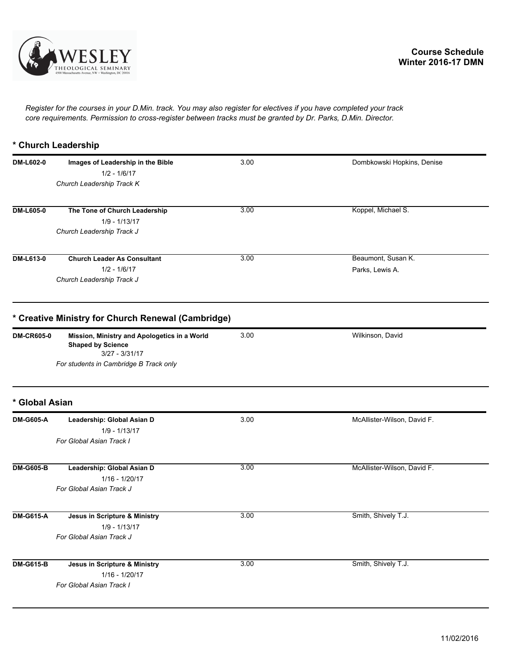

*Register for the courses in your D.Min. track. You may also register for electives if you have completed your track core requirements. Permission to cross-register between tracks must be granted by Dr. Parks, D.Min. Director.*

## **\* Church Leadership**

| DM-L602-0         | Images of Leadership in the Bible                                                            | 3.00 | Dombkowski Hopkins, Denise  |
|-------------------|----------------------------------------------------------------------------------------------|------|-----------------------------|
|                   | $1/2 - 1/6/17$                                                                               |      |                             |
|                   | Church Leadership Track K                                                                    |      |                             |
| <b>DM-L605-0</b>  | The Tone of Church Leadership                                                                | 3.00 | Koppel, Michael S.          |
|                   | $1/9 - 1/13/17$                                                                              |      |                             |
|                   | Church Leadership Track J                                                                    |      |                             |
| DM-L613-0         | <b>Church Leader As Consultant</b>                                                           | 3.00 | Beaumont, Susan K.          |
|                   | $1/2 - 1/6/17$                                                                               |      | Parks, Lewis A.             |
|                   | Church Leadership Track J                                                                    |      |                             |
|                   | * Creative Ministry for Church Renewal (Cambridge)                                           |      |                             |
| <b>DM-CR605-0</b> | Mission, Ministry and Apologetics in a World<br><b>Shaped by Science</b><br>$3/27 - 3/31/17$ | 3.00 | Wilkinson, David            |
|                   | For students in Cambridge B Track only                                                       |      |                             |
| * Global Asian    |                                                                                              |      |                             |
| <b>DM-G605-A</b>  | Leadership: Global Asian D                                                                   | 3.00 | McAllister-Wilson, David F. |
|                   | $1/9 - 1/13/17$                                                                              |      |                             |
|                   | For Global Asian Track I                                                                     |      |                             |
| <b>DM-G605-B</b>  | Leadership: Global Asian D                                                                   | 3.00 | McAllister-Wilson, David F. |
|                   | 1/16 - 1/20/17                                                                               |      |                             |
|                   | For Global Asian Track J                                                                     |      |                             |
| <b>DM-G615-A</b>  | Jesus in Scripture & Ministry                                                                | 3.00 | Smith, Shively T.J.         |
|                   | $1/9 - 1/13/17$                                                                              |      |                             |
|                   | For Global Asian Track J                                                                     |      |                             |
| <b>DM-G615-B</b>  | Jesus in Scripture & Ministry                                                                | 3.00 | Smith, Shively T.J.         |
|                   | 1/16 - 1/20/17                                                                               |      |                             |
|                   | For Global Asian Track I                                                                     |      |                             |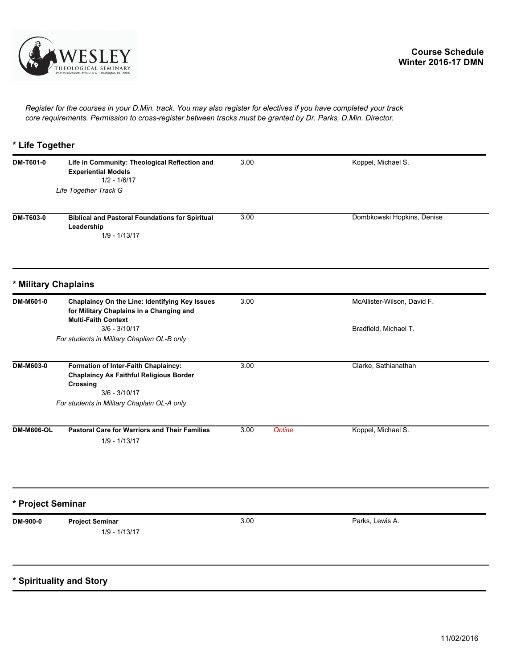

*Register for the courses in your D.Min. track. You may also register for electives if you have completed your track core requirements. Permission to cross-register between tracks must be granted by Dr. Parks, D.Min. Director.*

## **\* Life Together**

| DM-T601-0         | Life in Community: Theological Reflection and<br><b>Experiential Models</b><br>$1/2 - 1/6/17$                                   | 3.00           | Koppel, Michael S.          |
|-------------------|---------------------------------------------------------------------------------------------------------------------------------|----------------|-----------------------------|
|                   | Life Together Track G                                                                                                           |                |                             |
| <b>DM-T603-0</b>  | <b>Biblical and Pastoral Foundations for Spiritual</b><br>Leadership<br>$1/9 - 1/13/17$                                         | 3.00           | Dombkowski Hopkins, Denise  |
|                   | * Military Chaplains                                                                                                            |                |                             |
| DM-M601-0         | <b>Chaplaincy On the Line: Identifying Key Issues</b><br>for Military Chaplains in a Changing and<br><b>Multi-Faith Context</b> | 3.00           | McAllister-Wilson, David F. |
|                   | $3/6 - 3/10/17$<br>For students in Military Chaplian OL-B only                                                                  |                | Bradfield, Michael T.       |
| DM-M603-0         | Formation of Inter-Faith Chaplaincy:<br><b>Chaplaincy As Faithful Religious Border</b><br>Crossing<br>$3/6 - 3/10/17$           | 3.00           | Clarke, Sathianathan        |
|                   | For students in Military Chaplain OL-A only                                                                                     |                |                             |
| <b>DM-M606-OL</b> | <b>Pastoral Care for Warriors and Their Families</b><br>$1/9 - 1/13/17$                                                         | 3.00<br>Online | Koppel, Michael S.          |
| * Project Seminar |                                                                                                                                 |                |                             |
| DM-900-0          | <b>Project Seminar</b><br>$1/9 - 1/13/17$                                                                                       | 3.00           | Parks, Lewis A.             |
|                   | * Spirituality and Story                                                                                                        |                |                             |